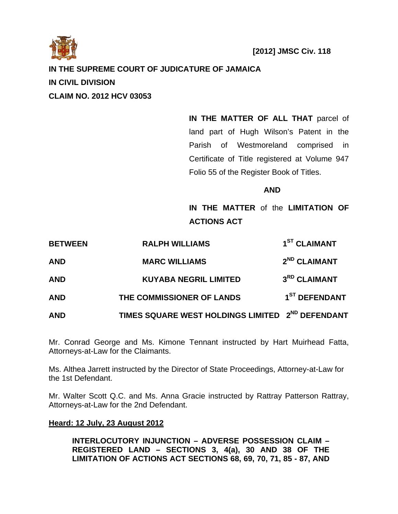

# **IN THE SUPREME COURT OF JUDICATURE OF JAMAICA**

**IN CIVIL DIVISION** 

**CLAIM NO. 2012 HCV 03053** 

**IN THE MATTER OF ALL THAT** parcel of land part of Hugh Wilson's Patent in the Parish of Westmoreland comprised in Certificate of Title registered at Volume 947 Folio 55 of the Register Book of Titles.

## **AND**

**IN THE MATTER** of the **LIMITATION OF ACTIONS ACT** 

| <b>BETWEEN</b> | <b>RALPH WILLIAMS</b>                                        | 1 <sup>ST</sup> CLAIMANT  |
|----------------|--------------------------------------------------------------|---------------------------|
| <b>AND</b>     | <b>MARC WILLIAMS</b>                                         | 2 <sup>ND</sup> CLAIMANT  |
| <b>AND</b>     | <b>KUYABA NEGRIL LIMITED</b>                                 | 3 <sup>RD</sup> CLAIMANT  |
| <b>AND</b>     | THE COMMISSIONER OF LANDS                                    | 1 <sup>ST</sup> DEFENDANT |
| <b>AND</b>     | TIMES SQUARE WEST HOLDINGS LIMITED 2 <sup>ND</sup> DEFENDANT |                           |

Mr. Conrad George and Ms. Kimone Tennant instructed by Hart Muirhead Fatta, Attorneys-at-Law for the Claimants.

Ms. Althea Jarrett instructed by the Director of State Proceedings, Attorney-at-Law for the 1st Defendant.

Mr. Walter Scott Q.C. and Ms. Anna Gracie instructed by Rattray Patterson Rattray, Attorneys-at-Law for the 2nd Defendant.

# **Heard: 12 July, 23 August 2012**

**INTERLOCUTORY INJUNCTION – ADVERSE POSSESSION CLAIM – REGISTERED LAND – SECTIONS 3, 4(a), 30 AND 38 OF THE LIMITATION OF ACTIONS ACT SECTIONS 68, 69, 70, 71, 85 - 87, AND**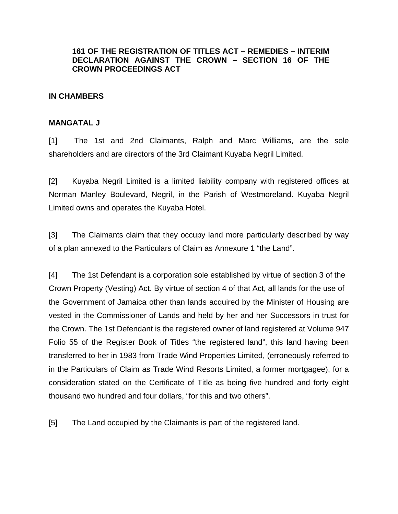# **161 OF THE REGISTRATION OF TITLES ACT – REMEDIES – INTERIM DECLARATION AGAINST THE CROWN – SECTION 16 OF THE CROWN PROCEEDINGS ACT**

## **IN CHAMBERS**

## **MANGATAL J**

[1] The 1st and 2nd Claimants, Ralph and Marc Williams, are the sole shareholders and are directors of the 3rd Claimant Kuyaba Negril Limited.

[2] Kuyaba Negril Limited is a limited liability company with registered offices at Norman Manley Boulevard, Negril, in the Parish of Westmoreland. Kuyaba Negril Limited owns and operates the Kuyaba Hotel.

[3] The Claimants claim that they occupy land more particularly described by way of a plan annexed to the Particulars of Claim as Annexure 1 "the Land".

[4] The 1st Defendant is a corporation sole established by virtue of section 3 of the Crown Property (Vesting) Act. By virtue of section 4 of that Act, all lands for the use of the Government of Jamaica other than lands acquired by the Minister of Housing are vested in the Commissioner of Lands and held by her and her Successors in trust for the Crown. The 1st Defendant is the registered owner of land registered at Volume 947 Folio 55 of the Register Book of Titles "the registered land", this land having been transferred to her in 1983 from Trade Wind Properties Limited, (erroneously referred to in the Particulars of Claim as Trade Wind Resorts Limited, a former mortgagee), for a consideration stated on the Certificate of Title as being five hundred and forty eight thousand two hundred and four dollars, "for this and two others".

[5] The Land occupied by the Claimants is part of the registered land.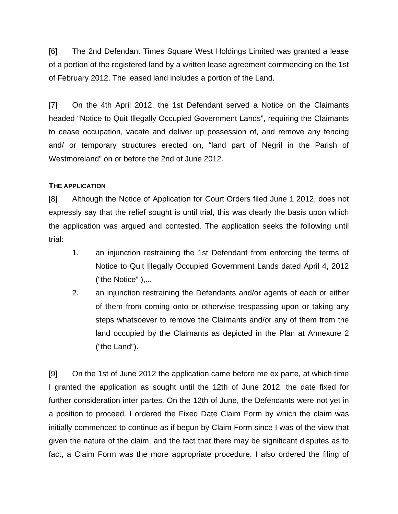[6] The 2nd Defendant Times Square West Holdings Limited was granted a lease of a portion of the registered land by a written lease agreement commencing on the 1st of February 2012. The leased land includes a portion of the Land.

[7] On the 4th April 2012, the 1st Defendant served a Notice on the Claimants headed "Notice to Quit Illegally Occupied Government Lands", requiring the Claimants to cease occupation, vacate and deliver up possession of, and remove any fencing and/ or temporary structures erected on, "land part of Negril in the Parish of Westmoreland" on or before the 2nd of June 2012.

## **THE APPLICATION**

[8] Although the Notice of Application for Court Orders filed June 1 2012, does not expressly say that the relief sought is until trial, this was clearly the basis upon which the application was argued and contested. The application seeks the following until trial:

- 1. an injunction restraining the 1st Defendant from enforcing the terms of Notice to Quit Illegally Occupied Government Lands dated April 4, 2012 ("the Notice" ),...
- 2. an injunction restraining the Defendants and/or agents of each or either of them from coming onto or otherwise trespassing upon or taking any steps whatsoever to remove the Claimants and/or any of them from the land occupied by the Claimants as depicted in the Plan at Annexure 2 ("the Land").

[9] On the 1st of June 2012 the application came before me ex parte, at which time I granted the application as sought until the 12th of June 2012, the date fixed for further consideration inter partes. On the 12th of June, the Defendants were not yet in a position to proceed. I ordered the Fixed Date Claim Form by which the claim was initially commenced to continue as if begun by Claim Form since I was of the view that given the nature of the claim, and the fact that there may be significant disputes as to fact, a Claim Form was the more appropriate procedure. I also ordered the filing of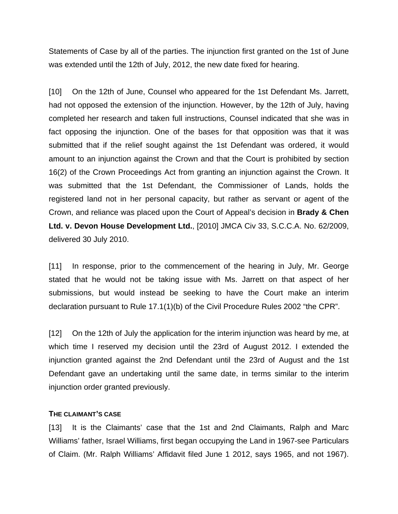Statements of Case by all of the parties. The injunction first granted on the 1st of June was extended until the 12th of July, 2012, the new date fixed for hearing.

[10] On the 12th of June, Counsel who appeared for the 1st Defendant Ms. Jarrett, had not opposed the extension of the injunction. However, by the 12th of July, having completed her research and taken full instructions, Counsel indicated that she was in fact opposing the injunction. One of the bases for that opposition was that it was submitted that if the relief sought against the 1st Defendant was ordered, it would amount to an injunction against the Crown and that the Court is prohibited by section 16(2) of the Crown Proceedings Act from granting an injunction against the Crown. It was submitted that the 1st Defendant, the Commissioner of Lands, holds the registered land not in her personal capacity, but rather as servant or agent of the Crown, and reliance was placed upon the Court of Appeal's decision in **Brady & Chen Ltd. v. Devon House Development Ltd.**, [2010] JMCA Civ 33, S.C.C.A. No. 62/2009, delivered 30 July 2010.

[11] In response, prior to the commencement of the hearing in July, Mr. George stated that he would not be taking issue with Ms. Jarrett on that aspect of her submissions, but would instead be seeking to have the Court make an interim declaration pursuant to Rule 17.1(1)(b) of the Civil Procedure Rules 2002 "the CPR".

[12] On the 12th of July the application for the interim injunction was heard by me, at which time I reserved my decision until the 23rd of August 2012. I extended the injunction granted against the 2nd Defendant until the 23rd of August and the 1st Defendant gave an undertaking until the same date, in terms similar to the interim injunction order granted previously.

### **THE CLAIMANT'S CASE**

[13] It is the Claimants' case that the 1st and 2nd Claimants, Ralph and Marc Williams' father, Israel Williams, first began occupying the Land in 1967-see Particulars of Claim. (Mr. Ralph Williams' Affidavit filed June 1 2012, says 1965, and not 1967).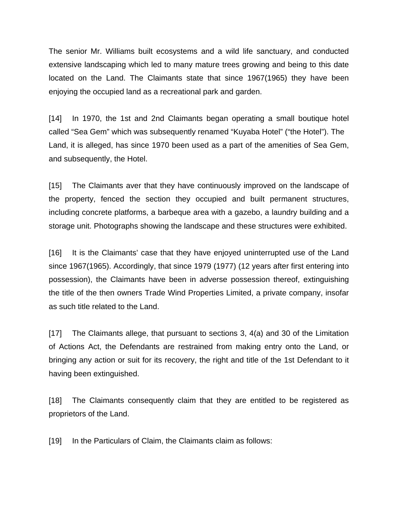The senior Mr. Williams built ecosystems and a wild life sanctuary, and conducted extensive landscaping which led to many mature trees growing and being to this date located on the Land. The Claimants state that since 1967(1965) they have been enjoying the occupied land as a recreational park and garden.

[14] In 1970, the 1st and 2nd Claimants began operating a small boutique hotel called "Sea Gem" which was subsequently renamed "Kuyaba Hotel" ("the Hotel"). The Land, it is alleged, has since 1970 been used as a part of the amenities of Sea Gem, and subsequently, the Hotel.

[15] The Claimants aver that they have continuously improved on the landscape of the property, fenced the section they occupied and built permanent structures, including concrete platforms, a barbeque area with a gazebo, a laundry building and a storage unit. Photographs showing the landscape and these structures were exhibited.

[16] It is the Claimants' case that they have enjoyed uninterrupted use of the Land since 1967(1965). Accordingly, that since 1979 (1977) (12 years after first entering into possession), the Claimants have been in adverse possession thereof, extinguishing the title of the then owners Trade Wind Properties Limited, a private company, insofar as such title related to the Land.

[17] The Claimants allege, that pursuant to sections 3, 4(a) and 30 of the Limitation of Actions Act, the Defendants are restrained from making entry onto the Land, or bringing any action or suit for its recovery, the right and title of the 1st Defendant to it having been extinguished.

[18] The Claimants consequently claim that they are entitled to be registered as proprietors of the Land.

[19] In the Particulars of Claim, the Claimants claim as follows: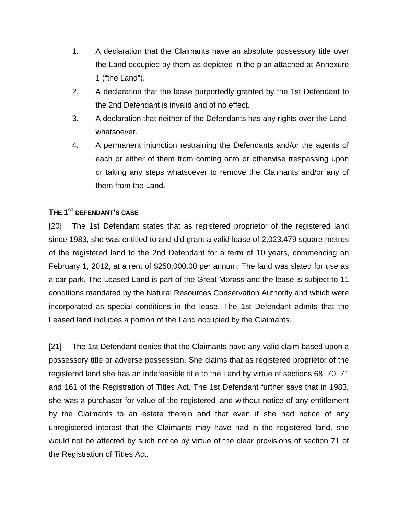- 1. A declaration that the Claimants have an absolute possessory title over the Land occupied by them as depicted in the plan attached at Annexure 1 ("the Land").
- 2. A declaration that the lease purportedly granted by the 1st Defendant to the 2nd Defendant is invalid and of no effect.
- 3. A declaration that neither of the Defendants has any rights over the Land whatsoever.
- 4. A permanent injunction restraining the Defendants and/or the agents of each or either of them from coming onto or otherwise trespassing upon or taking any steps whatsoever to remove the Claimants and/or any of them from the Land.

# **THE 1ST DEFENDANT'S CASE**

[20] The 1st Defendant states that as registered proprietor of the registered land since 1983, she was entitled to and did grant a valid lease of 2,023.479 square metres of the registered land to the 2nd Defendant for a term of 10 years, commencing on February 1, 2012, at a rent of \$250,000.00 per annum. The land was slated for use as a car park. The Leased Land is part of the Great Morass and the lease is subject to 11 conditions mandated by the Natural Resources Conservation Authority and which were incorporated as special conditions in the lease. The 1st Defendant admits that the Leased land includes a portion of the Land occupied by the Claimants.

[21] The 1st Defendant denies that the Claimants have any valid claim based upon a possessory title or adverse possession. She claims that as registered proprietor of the registered land she has an indefeasible title to the Land by virtue of sections 68, 70, 71 and 161 of the Registration of Titles Act. The 1st Defendant further says that in 1983, she was a purchaser for value of the registered land without notice of any entitlement by the Claimants to an estate therein and that even if she had notice of any unregistered interest that the Claimants may have had in the registered land, she would not be affected by such notice by virtue of the clear provisions of section 71 of the Registration of Titles Act.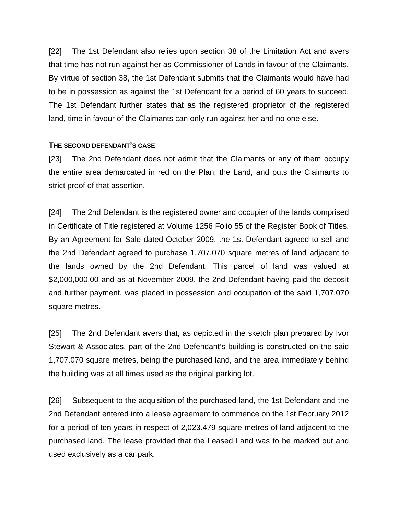[22] The 1st Defendant also relies upon section 38 of the Limitation Act and avers that time has not run against her as Commissioner of Lands in favour of the Claimants. By virtue of section 38, the 1st Defendant submits that the Claimants would have had to be in possession as against the 1st Defendant for a period of 60 years to succeed. The 1st Defendant further states that as the registered proprietor of the registered land, time in favour of the Claimants can only run against her and no one else.

## **THE SECOND DEFENDANT'S CASE**

[23] The 2nd Defendant does not admit that the Claimants or any of them occupy the entire area demarcated in red on the Plan, the Land, and puts the Claimants to strict proof of that assertion.

[24] The 2nd Defendant is the registered owner and occupier of the lands comprised in Certificate of Title registered at Volume 1256 Folio 55 of the Register Book of Titles. By an Agreement for Sale dated October 2009, the 1st Defendant agreed to sell and the 2nd Defendant agreed to purchase 1,707.070 square metres of land adjacent to the lands owned by the 2nd Defendant. This parcel of land was valued at \$2,000,000.00 and as at November 2009, the 2nd Defendant having paid the deposit and further payment, was placed in possession and occupation of the said 1,707.070 square metres.

[25] The 2nd Defendant avers that, as depicted in the sketch plan prepared by Ivor Stewart & Associates, part of the 2nd Defendant's building is constructed on the said 1,707.070 square metres, being the purchased land, and the area immediately behind the building was at all times used as the original parking lot.

[26] Subsequent to the acquisition of the purchased land, the 1st Defendant and the 2nd Defendant entered into a lease agreement to commence on the 1st February 2012 for a period of ten years in respect of 2,023.479 square metres of land adjacent to the purchased land. The lease provided that the Leased Land was to be marked out and used exclusively as a car park.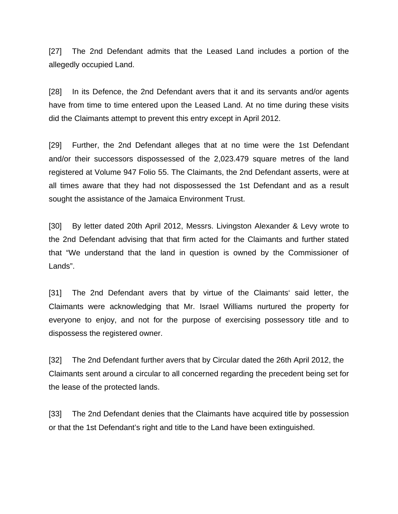[27] The 2nd Defendant admits that the Leased Land includes a portion of the allegedly occupied Land.

[28] In its Defence, the 2nd Defendant avers that it and its servants and/or agents have from time to time entered upon the Leased Land. At no time during these visits did the Claimants attempt to prevent this entry except in April 2012.

[29] Further, the 2nd Defendant alleges that at no time were the 1st Defendant and/or their successors dispossessed of the 2,023.479 square metres of the land registered at Volume 947 Folio 55. The Claimants, the 2nd Defendant asserts, were at all times aware that they had not dispossessed the 1st Defendant and as a result sought the assistance of the Jamaica Environment Trust.

[30] By letter dated 20th April 2012, Messrs. Livingston Alexander & Levy wrote to the 2nd Defendant advising that that firm acted for the Claimants and further stated that "We understand that the land in question is owned by the Commissioner of Lands".

[31] The 2nd Defendant avers that by virtue of the Claimants' said letter, the Claimants were acknowledging that Mr. Israel Williams nurtured the property for everyone to enjoy, and not for the purpose of exercising possessory title and to dispossess the registered owner.

[32] The 2nd Defendant further avers that by Circular dated the 26th April 2012, the Claimants sent around a circular to all concerned regarding the precedent being set for the lease of the protected lands.

[33] The 2nd Defendant denies that the Claimants have acquired title by possession or that the 1st Defendant's right and title to the Land have been extinguished.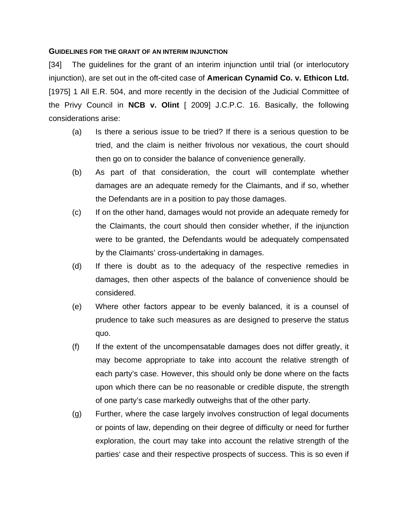#### **GUIDELINES FOR THE GRANT OF AN INTERIM INJUNCTION**

[34] The guidelines for the grant of an interim injunction until trial (or interlocutory injunction), are set out in the oft-cited case of **American Cynamid Co. v. Ethicon Ltd.** [1975] 1 All E.R. 504, and more recently in the decision of the Judicial Committee of the Privy Council in **NCB v. Olint** [ 2009] J.C.P.C. 16. Basically, the following considerations arise:

- (a) Is there a serious issue to be tried? If there is a serious question to be tried, and the claim is neither frivolous nor vexatious, the court should then go on to consider the balance of convenience generally.
- (b) As part of that consideration, the court will contemplate whether damages are an adequate remedy for the Claimants, and if so, whether the Defendants are in a position to pay those damages.
- (c) If on the other hand, damages would not provide an adequate remedy for the Claimants, the court should then consider whether, if the injunction were to be granted, the Defendants would be adequately compensated by the Claimants' cross-undertaking in damages.
- (d) If there is doubt as to the adequacy of the respective remedies in damages, then other aspects of the balance of convenience should be considered.
- (e) Where other factors appear to be evenly balanced, it is a counsel of prudence to take such measures as are designed to preserve the status quo.
- (f) If the extent of the uncompensatable damages does not differ greatly, it may become appropriate to take into account the relative strength of each party's case. However, this should only be done where on the facts upon which there can be no reasonable or credible dispute, the strength of one party's case markedly outweighs that of the other party.
- (g) Further, where the case largely involves construction of legal documents or points of law, depending on their degree of difficulty or need for further exploration, the court may take into account the relative strength of the parties' case and their respective prospects of success. This is so even if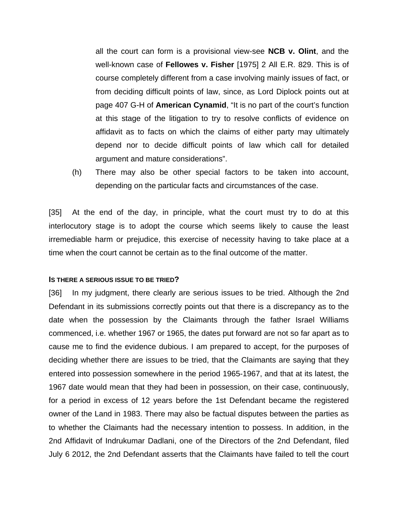all the court can form is a provisional view-see **NCB v. Olint**, and the well-known case of **Fellowes v. Fisher** [1975] 2 All E.R. 829. This is of course completely different from a case involving mainly issues of fact, or from deciding difficult points of law, since, as Lord Diplock points out at page 407 G-H of **American Cynamid**, "It is no part of the court's function at this stage of the litigation to try to resolve conflicts of evidence on affidavit as to facts on which the claims of either party may ultimately depend nor to decide difficult points of law which call for detailed argument and mature considerations".

(h) There may also be other special factors to be taken into account, depending on the particular facts and circumstances of the case.

[35] At the end of the day, in principle, what the court must try to do at this interlocutory stage is to adopt the course which seems likely to cause the least irremediable harm or prejudice, this exercise of necessity having to take place at a time when the court cannot be certain as to the final outcome of the matter.

#### **IS THERE A SERIOUS ISSUE TO BE TRIED?**

[36] In my judgment, there clearly are serious issues to be tried. Although the 2nd Defendant in its submissions correctly points out that there is a discrepancy as to the date when the possession by the Claimants through the father Israel Williams commenced, i.e. whether 1967 or 1965, the dates put forward are not so far apart as to cause me to find the evidence dubious. I am prepared to accept, for the purposes of deciding whether there are issues to be tried, that the Claimants are saying that they entered into possession somewhere in the period 1965-1967, and that at its latest, the 1967 date would mean that they had been in possession, on their case, continuously, for a period in excess of 12 years before the 1st Defendant became the registered owner of the Land in 1983. There may also be factual disputes between the parties as to whether the Claimants had the necessary intention to possess. In addition, in the 2nd Affidavit of Indrukumar Dadlani, one of the Directors of the 2nd Defendant, filed July 6 2012, the 2nd Defendant asserts that the Claimants have failed to tell the court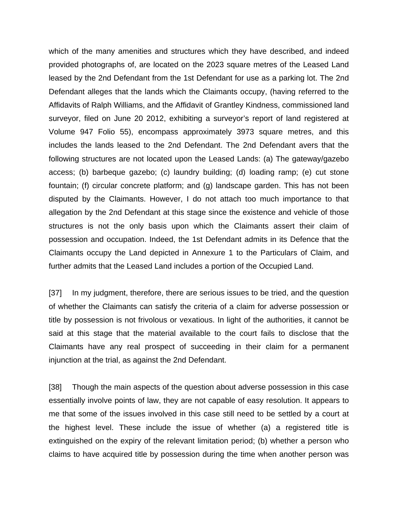which of the many amenities and structures which they have described, and indeed provided photographs of, are located on the 2023 square metres of the Leased Land leased by the 2nd Defendant from the 1st Defendant for use as a parking lot. The 2nd Defendant alleges that the lands which the Claimants occupy, (having referred to the Affidavits of Ralph Williams, and the Affidavit of Grantley Kindness, commissioned land surveyor, filed on June 20 2012, exhibiting a surveyor's report of land registered at Volume 947 Folio 55), encompass approximately 3973 square metres, and this includes the lands leased to the 2nd Defendant. The 2nd Defendant avers that the following structures are not located upon the Leased Lands: (a) The gateway/gazebo access; (b) barbeque gazebo; (c) laundry building; (d) loading ramp; (e) cut stone fountain; (f) circular concrete platform; and (g) landscape garden. This has not been disputed by the Claimants. However, I do not attach too much importance to that allegation by the 2nd Defendant at this stage since the existence and vehicle of those structures is not the only basis upon which the Claimants assert their claim of possession and occupation. Indeed, the 1st Defendant admits in its Defence that the Claimants occupy the Land depicted in Annexure 1 to the Particulars of Claim, and further admits that the Leased Land includes a portion of the Occupied Land.

[37] In my judgment, therefore, there are serious issues to be tried, and the question of whether the Claimants can satisfy the criteria of a claim for adverse possession or title by possession is not frivolous or vexatious. In light of the authorities, it cannot be said at this stage that the material available to the court fails to disclose that the Claimants have any real prospect of succeeding in their claim for a permanent injunction at the trial, as against the 2nd Defendant.

[38] Though the main aspects of the question about adverse possession in this case essentially involve points of law, they are not capable of easy resolution. It appears to me that some of the issues involved in this case still need to be settled by a court at the highest level. These include the issue of whether (a) a registered title is extinguished on the expiry of the relevant limitation period; (b) whether a person who claims to have acquired title by possession during the time when another person was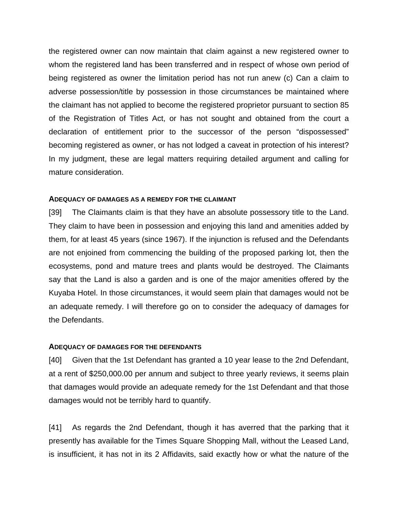the registered owner can now maintain that claim against a new registered owner to whom the registered land has been transferred and in respect of whose own period of being registered as owner the limitation period has not run anew (c) Can a claim to adverse possession/title by possession in those circumstances be maintained where the claimant has not applied to become the registered proprietor pursuant to section 85 of the Registration of Titles Act, or has not sought and obtained from the court a declaration of entitlement prior to the successor of the person "dispossessed" becoming registered as owner, or has not lodged a caveat in protection of his interest? In my judgment, these are legal matters requiring detailed argument and calling for mature consideration.

#### **ADEQUACY OF DAMAGES AS A REMEDY FOR THE CLAIMANT**

[39] The Claimants claim is that they have an absolute possessory title to the Land. They claim to have been in possession and enjoying this land and amenities added by them, for at least 45 years (since 1967). If the injunction is refused and the Defendants are not enjoined from commencing the building of the proposed parking lot, then the ecosystems, pond and mature trees and plants would be destroyed. The Claimants say that the Land is also a garden and is one of the major amenities offered by the Kuyaba Hotel. In those circumstances, it would seem plain that damages would not be an adequate remedy. I will therefore go on to consider the adequacy of damages for the Defendants.

#### **ADEQUACY OF DAMAGES FOR THE DEFENDANTS**

[40] Given that the 1st Defendant has granted a 10 year lease to the 2nd Defendant, at a rent of \$250,000.00 per annum and subject to three yearly reviews, it seems plain that damages would provide an adequate remedy for the 1st Defendant and that those damages would not be terribly hard to quantify.

[41] As regards the 2nd Defendant, though it has averred that the parking that it presently has available for the Times Square Shopping Mall, without the Leased Land, is insufficient, it has not in its 2 Affidavits, said exactly how or what the nature of the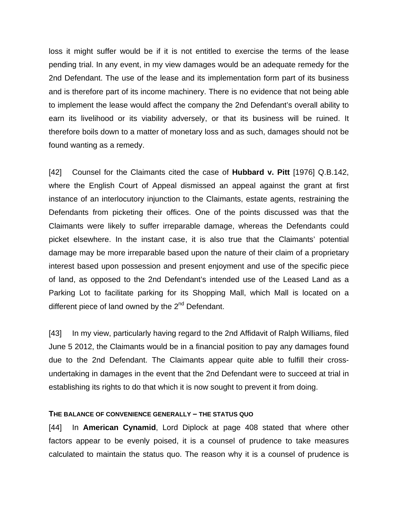loss it might suffer would be if it is not entitled to exercise the terms of the lease pending trial. In any event, in my view damages would be an adequate remedy for the 2nd Defendant. The use of the lease and its implementation form part of its business and is therefore part of its income machinery. There is no evidence that not being able to implement the lease would affect the company the 2nd Defendant's overall ability to earn its livelihood or its viability adversely, or that its business will be ruined. It therefore boils down to a matter of monetary loss and as such, damages should not be found wanting as a remedy.

[42] Counsel for the Claimants cited the case of **Hubbard v. Pitt** [1976] Q.B.142, where the English Court of Appeal dismissed an appeal against the grant at first instance of an interlocutory injunction to the Claimants, estate agents, restraining the Defendants from picketing their offices. One of the points discussed was that the Claimants were likely to suffer irreparable damage, whereas the Defendants could picket elsewhere. In the instant case, it is also true that the Claimants' potential damage may be more irreparable based upon the nature of their claim of a proprietary interest based upon possession and present enjoyment and use of the specific piece of land, as opposed to the 2nd Defendant's intended use of the Leased Land as a Parking Lot to facilitate parking for its Shopping Mall, which Mall is located on a different piece of land owned by the  $2^{nd}$  Defendant.

[43] In my view, particularly having regard to the 2nd Affidavit of Ralph Williams, filed June 5 2012, the Claimants would be in a financial position to pay any damages found due to the 2nd Defendant. The Claimants appear quite able to fulfill their crossundertaking in damages in the event that the 2nd Defendant were to succeed at trial in establishing its rights to do that which it is now sought to prevent it from doing.

#### **THE BALANCE OF CONVENIENCE GENERALLY – THE STATUS QUO**

[44] In **American Cynamid**, Lord Diplock at page 408 stated that where other factors appear to be evenly poised, it is a counsel of prudence to take measures calculated to maintain the status quo. The reason why it is a counsel of prudence is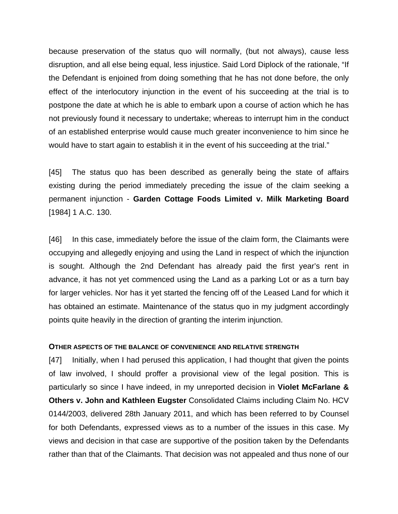because preservation of the status quo will normally, (but not always), cause less disruption, and all else being equal, less injustice. Said Lord Diplock of the rationale, "If the Defendant is enjoined from doing something that he has not done before, the only effect of the interlocutory injunction in the event of his succeeding at the trial is to postpone the date at which he is able to embark upon a course of action which he has not previously found it necessary to undertake; whereas to interrupt him in the conduct of an established enterprise would cause much greater inconvenience to him since he would have to start again to establish it in the event of his succeeding at the trial."

[45] The status quo has been described as generally being the state of affairs existing during the period immediately preceding the issue of the claim seeking a permanent injunction - **Garden Cottage Foods Limited v. Milk Marketing Board**  [1984] 1 A.C. 130.

[46] In this case, immediately before the issue of the claim form, the Claimants were occupying and allegedly enjoying and using the Land in respect of which the injunction is sought. Although the 2nd Defendant has already paid the first year's rent in advance, it has not yet commenced using the Land as a parking Lot or as a turn bay for larger vehicles. Nor has it yet started the fencing off of the Leased Land for which it has obtained an estimate. Maintenance of the status quo in my judgment accordingly points quite heavily in the direction of granting the interim injunction.

#### **OTHER ASPECTS OF THE BALANCE OF CONVENIENCE AND RELATIVE STRENGTH**

[47] Initially, when I had perused this application, I had thought that given the points of law involved, I should proffer a provisional view of the legal position. This is particularly so since I have indeed, in my unreported decision in **Violet McFarlane & Others v. John and Kathleen Eugster** Consolidated Claims including Claim No. HCV 0144/2003, delivered 28th January 2011, and which has been referred to by Counsel for both Defendants, expressed views as to a number of the issues in this case. My views and decision in that case are supportive of the position taken by the Defendants rather than that of the Claimants. That decision was not appealed and thus none of our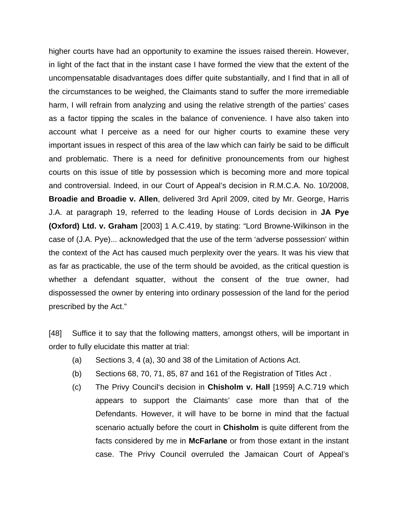higher courts have had an opportunity to examine the issues raised therein. However, in light of the fact that in the instant case I have formed the view that the extent of the uncompensatable disadvantages does differ quite substantially, and I find that in all of the circumstances to be weighed, the Claimants stand to suffer the more irremediable harm, I will refrain from analyzing and using the relative strength of the parties' cases as a factor tipping the scales in the balance of convenience. I have also taken into account what I perceive as a need for our higher courts to examine these very important issues in respect of this area of the law which can fairly be said to be difficult and problematic. There is a need for definitive pronouncements from our highest courts on this issue of title by possession which is becoming more and more topical and controversial. Indeed, in our Court of Appeal's decision in R.M.C.A. No. 10/2008, **Broadie and Broadie v. Allen**, delivered 3rd April 2009, cited by Mr. George, Harris J.A. at paragraph 19, referred to the leading House of Lords decision in **JA Pye (Oxford) Ltd. v. Graham** [2003] 1 A.C.419, by stating: "Lord Browne-Wilkinson in the case of (J.A. Pye)... acknowledged that the use of the term 'adverse possession' within the context of the Act has caused much perplexity over the years. It was his view that as far as practicable, the use of the term should be avoided, as the critical question is whether a defendant squatter, without the consent of the true owner, had dispossessed the owner by entering into ordinary possession of the land for the period prescribed by the Act."

[48] Suffice it to say that the following matters, amongst others, will be important in order to fully elucidate this matter at trial:

- (a) Sections 3, 4 (a), 30 and 38 of the Limitation of Actions Act.
- (b) Sections 68, 70, 71, 85, 87 and 161 of the Registration of Titles Act .
- (c) The Privy Council's decision in **Chisholm v. Hall** [1959] A.C.719 which appears to support the Claimants' case more than that of the Defendants. However, it will have to be borne in mind that the factual scenario actually before the court in **Chisholm** is quite different from the facts considered by me in **McFarlane** or from those extant in the instant case. The Privy Council overruled the Jamaican Court of Appeal's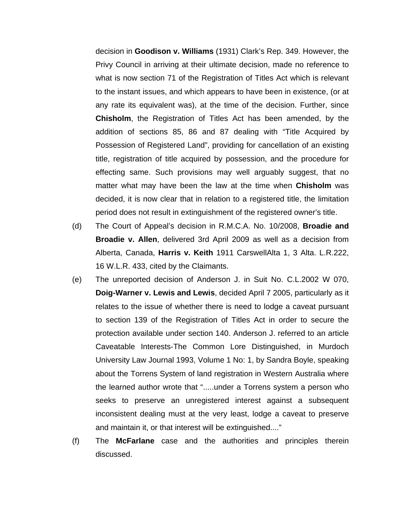decision in **Goodison v. Williams** (1931) Clark's Rep. 349. However, the Privy Council in arriving at their ultimate decision, made no reference to what is now section 71 of the Registration of Titles Act which is relevant to the instant issues, and which appears to have been in existence, (or at any rate its equivalent was), at the time of the decision. Further, since **Chisholm**, the Registration of Titles Act has been amended, by the addition of sections 85, 86 and 87 dealing with "Title Acquired by Possession of Registered Land", providing for cancellation of an existing title, registration of title acquired by possession, and the procedure for effecting same. Such provisions may well arguably suggest, that no matter what may have been the law at the time when **Chisholm** was decided, it is now clear that in relation to a registered title, the limitation period does not result in extinguishment of the registered owner's title.

- (d) The Court of Appeal's decision in R.M.C.A. No. 10/2008, **Broadie and Broadie v. Allen**, delivered 3rd April 2009 as well as a decision from Alberta, Canada, **Harris v. Keith** 1911 CarswellAlta 1, 3 Alta. L.R.222, 16 W.L.R. 433, cited by the Claimants.
- (e) The unreported decision of Anderson J. in Suit No. C.L.2002 W 070, **Doig-Warner v. Lewis and Lewis**, decided April 7 2005, particularly as it relates to the issue of whether there is need to lodge a caveat pursuant to section 139 of the Registration of Titles Act in order to secure the protection available under section 140. Anderson J. referred to an article Caveatable Interests-The Common Lore Distinguished, in Murdoch University Law Journal 1993, Volume 1 No: 1, by Sandra Boyle, speaking about the Torrens System of land registration in Western Australia where the learned author wrote that ".....under a Torrens system a person who seeks to preserve an unregistered interest against a subsequent inconsistent dealing must at the very least, lodge a caveat to preserve and maintain it, or that interest will be extinguished...."
- (f) The **McFarlane** case and the authorities and principles therein discussed.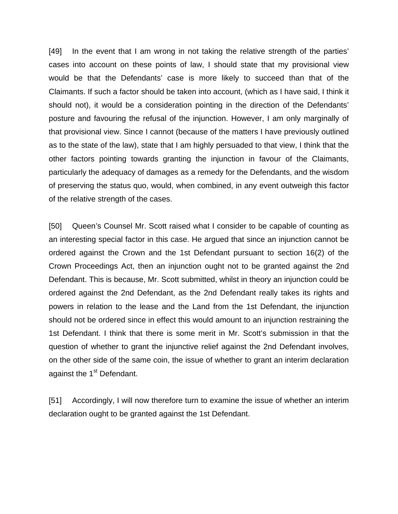[49] In the event that I am wrong in not taking the relative strength of the parties' cases into account on these points of law, I should state that my provisional view would be that the Defendants' case is more likely to succeed than that of the Claimants. If such a factor should be taken into account, (which as I have said, I think it should not), it would be a consideration pointing in the direction of the Defendants' posture and favouring the refusal of the injunction. However, I am only marginally of that provisional view. Since I cannot (because of the matters I have previously outlined as to the state of the law), state that I am highly persuaded to that view, I think that the other factors pointing towards granting the injunction in favour of the Claimants, particularly the adequacy of damages as a remedy for the Defendants, and the wisdom of preserving the status quo, would, when combined, in any event outweigh this factor of the relative strength of the cases.

[50] Queen's Counsel Mr. Scott raised what I consider to be capable of counting as an interesting special factor in this case. He argued that since an injunction cannot be ordered against the Crown and the 1st Defendant pursuant to section 16(2) of the Crown Proceedings Act, then an injunction ought not to be granted against the 2nd Defendant. This is because, Mr. Scott submitted, whilst in theory an injunction could be ordered against the 2nd Defendant, as the 2nd Defendant really takes its rights and powers in relation to the lease and the Land from the 1st Defendant, the injunction should not be ordered since in effect this would amount to an injunction restraining the 1st Defendant. I think that there is some merit in Mr. Scott's submission in that the question of whether to grant the injunctive relief against the 2nd Defendant involves, on the other side of the same coin, the issue of whether to grant an interim declaration against the 1<sup>st</sup> Defendant.

[51] Accordingly, I will now therefore turn to examine the issue of whether an interim declaration ought to be granted against the 1st Defendant.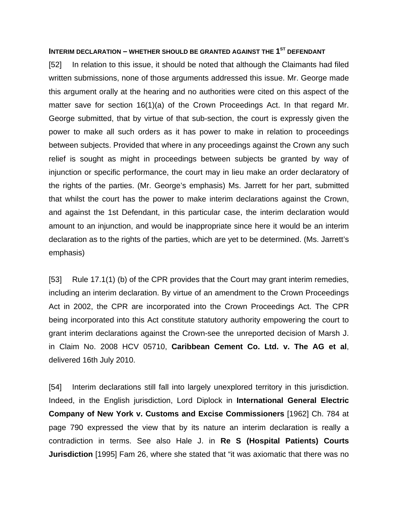### **INTERIM DECLARATION – WHETHER SHOULD BE GRANTED AGAINST THE 1<sup>ST</sup> DEFENDANT**

[52] In relation to this issue, it should be noted that although the Claimants had filed written submissions, none of those arguments addressed this issue. Mr. George made this argument orally at the hearing and no authorities were cited on this aspect of the matter save for section 16(1)(a) of the Crown Proceedings Act. In that regard Mr. George submitted, that by virtue of that sub-section, the court is expressly given the power to make all such orders as it has power to make in relation to proceedings between subjects. Provided that where in any proceedings against the Crown any such relief is sought as might in proceedings between subjects be granted by way of injunction or specific performance, the court may in lieu make an order declaratory of the rights of the parties. (Mr. George's emphasis) Ms. Jarrett for her part, submitted that whilst the court has the power to make interim declarations against the Crown, and against the 1st Defendant, in this particular case, the interim declaration would amount to an injunction, and would be inappropriate since here it would be an interim declaration as to the rights of the parties, which are yet to be determined. (Ms. Jarrett's emphasis)

[53] Rule 17.1(1) (b) of the CPR provides that the Court may grant interim remedies, including an interim declaration. By virtue of an amendment to the Crown Proceedings Act in 2002, the CPR are incorporated into the Crown Proceedings Act. The CPR being incorporated into this Act constitute statutory authority empowering the court to grant interim declarations against the Crown-see the unreported decision of Marsh J. in Claim No. 2008 HCV 05710, **Caribbean Cement Co. Ltd. v. The AG et al**, delivered 16th July 2010.

[54] Interim declarations still fall into largely unexplored territory in this jurisdiction. Indeed, in the English jurisdiction, Lord Diplock in **International General Electric Company of New York v. Customs and Excise Commissioners** [1962] Ch. 784 at page 790 expressed the view that by its nature an interim declaration is really a contradiction in terms. See also Hale J. in **Re S (Hospital Patients) Courts Jurisdiction** [1995] Fam 26, where she stated that "it was axiomatic that there was no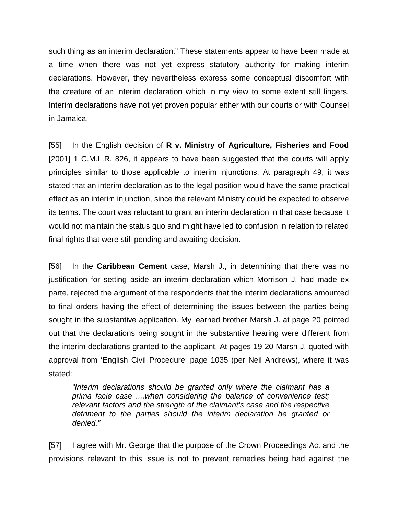such thing as an interim declaration." These statements appear to have been made at a time when there was not yet express statutory authority for making interim declarations. However, they nevertheless express some conceptual discomfort with the creature of an interim declaration which in my view to some extent still lingers. Interim declarations have not yet proven popular either with our courts or with Counsel in Jamaica.

[55] In the English decision of **R v. Ministry of Agriculture, Fisheries and Food** [2001] 1 C.M.L.R. 826, it appears to have been suggested that the courts will apply principles similar to those applicable to interim injunctions. At paragraph 49, it was stated that an interim declaration as to the legal position would have the same practical effect as an interim injunction, since the relevant Ministry could be expected to observe its terms. The court was reluctant to grant an interim declaration in that case because it would not maintain the status quo and might have led to confusion in relation to related final rights that were still pending and awaiting decision.

[56] In the **Caribbean Cement** case, Marsh J., in determining that there was no justification for setting aside an interim declaration which Morrison J. had made ex parte, rejected the argument of the respondents that the interim declarations amounted to final orders having the effect of determining the issues between the parties being sought in the substantive application. My learned brother Marsh J. at page 20 pointed out that the declarations being sought in the substantive hearing were different from the interim declarations granted to the applicant. At pages 19-20 Marsh J. quoted with approval from 'English Civil Procedure' page 1035 (per Neil Andrews), where it was stated:

*"Interim declarations should be granted only where the claimant has a prima facie case ....when considering the balance of convenience test; relevant factors and the strength of the claimant's case and the respective detriment to the parties should the interim declaration be granted or denied."* 

[57] I agree with Mr. George that the purpose of the Crown Proceedings Act and the provisions relevant to this issue is not to prevent remedies being had against the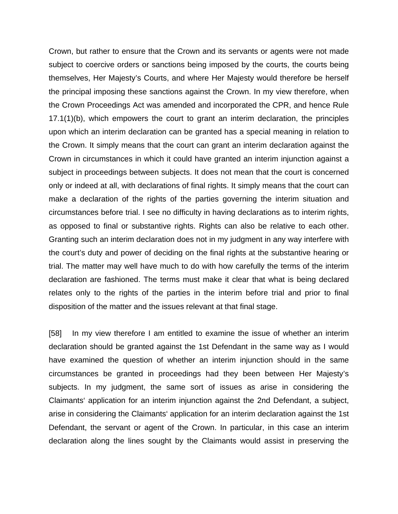Crown, but rather to ensure that the Crown and its servants or agents were not made subject to coercive orders or sanctions being imposed by the courts, the courts being themselves, Her Majesty's Courts, and where Her Majesty would therefore be herself the principal imposing these sanctions against the Crown. In my view therefore, when the Crown Proceedings Act was amended and incorporated the CPR, and hence Rule 17.1(1)(b), which empowers the court to grant an interim declaration, the principles upon which an interim declaration can be granted has a special meaning in relation to the Crown. It simply means that the court can grant an interim declaration against the Crown in circumstances in which it could have granted an interim injunction against a subject in proceedings between subjects. It does not mean that the court is concerned only or indeed at all, with declarations of final rights. It simply means that the court can make a declaration of the rights of the parties governing the interim situation and circumstances before trial. I see no difficulty in having declarations as to interim rights, as opposed to final or substantive rights. Rights can also be relative to each other. Granting such an interim declaration does not in my judgment in any way interfere with the court's duty and power of deciding on the final rights at the substantive hearing or trial. The matter may well have much to do with how carefully the terms of the interim declaration are fashioned. The terms must make it clear that what is being declared relates only to the rights of the parties in the interim before trial and prior to final disposition of the matter and the issues relevant at that final stage.

[58] In my view therefore I am entitled to examine the issue of whether an interim declaration should be granted against the 1st Defendant in the same way as I would have examined the question of whether an interim injunction should in the same circumstances be granted in proceedings had they been between Her Majesty's subjects. In my judgment, the same sort of issues as arise in considering the Claimants' application for an interim injunction against the 2nd Defendant, a subject, arise in considering the Claimants' application for an interim declaration against the 1st Defendant, the servant or agent of the Crown. In particular, in this case an interim declaration along the lines sought by the Claimants would assist in preserving the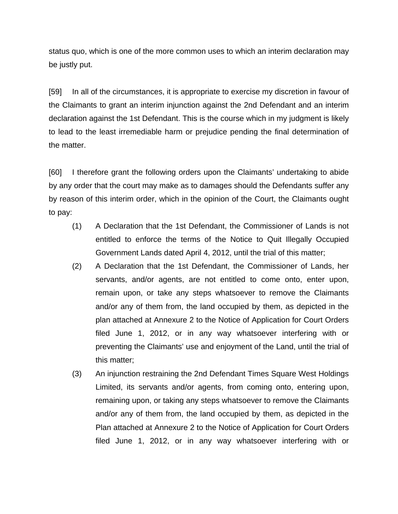status quo, which is one of the more common uses to which an interim declaration may be justly put.

[59] In all of the circumstances, it is appropriate to exercise my discretion in favour of the Claimants to grant an interim injunction against the 2nd Defendant and an interim declaration against the 1st Defendant. This is the course which in my judgment is likely to lead to the least irremediable harm or prejudice pending the final determination of the matter.

[60] I therefore grant the following orders upon the Claimants' undertaking to abide by any order that the court may make as to damages should the Defendants suffer any by reason of this interim order, which in the opinion of the Court, the Claimants ought to pay:

- (1) A Declaration that the 1st Defendant, the Commissioner of Lands is not entitled to enforce the terms of the Notice to Quit Illegally Occupied Government Lands dated April 4, 2012, until the trial of this matter;
- (2) A Declaration that the 1st Defendant, the Commissioner of Lands, her servants, and/or agents, are not entitled to come onto, enter upon, remain upon, or take any steps whatsoever to remove the Claimants and/or any of them from, the land occupied by them, as depicted in the plan attached at Annexure 2 to the Notice of Application for Court Orders filed June 1, 2012, or in any way whatsoever interfering with or preventing the Claimants' use and enjoyment of the Land, until the trial of this matter;
- (3) An injunction restraining the 2nd Defendant Times Square West Holdings Limited, its servants and/or agents, from coming onto, entering upon, remaining upon, or taking any steps whatsoever to remove the Claimants and/or any of them from, the land occupied by them, as depicted in the Plan attached at Annexure 2 to the Notice of Application for Court Orders filed June 1, 2012, or in any way whatsoever interfering with or